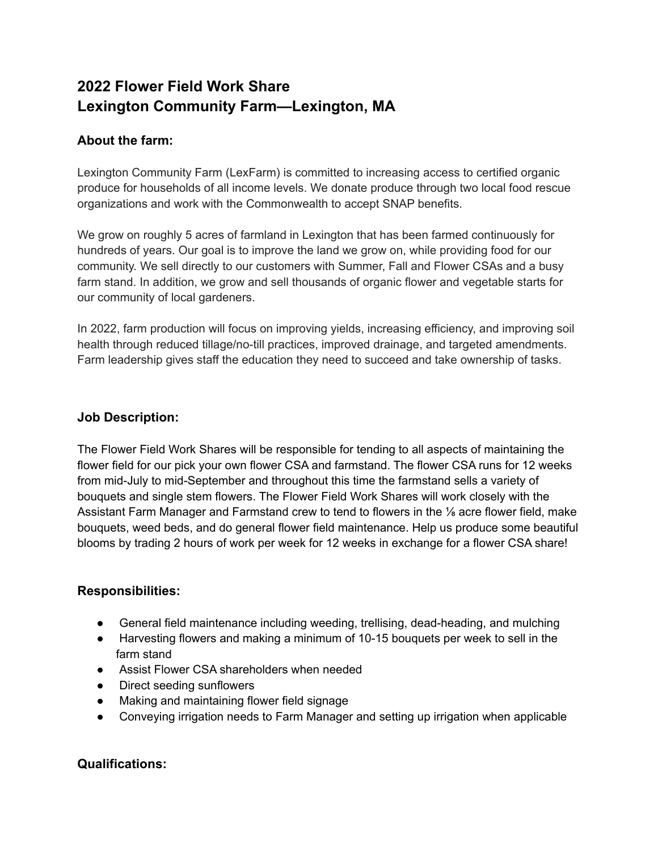# **2022 Flower Field Work Share Lexington Community Farm—Lexington, MA**

# **About the farm:**

Lexington Community Farm (LexFarm) is committed to increasing access to certified organic produce for households of all income levels. We donate produce through two local food rescue organizations and work with the Commonwealth to accept SNAP benefits.

We grow on roughly 5 acres of farmland in Lexington that has been farmed continuously for hundreds of years. Our goal is to improve the land we grow on, while providing food for our community. We sell directly to our customers with Summer, Fall and Flower CSAs and a busy farm stand. In addition, we grow and sell thousands of organic flower and vegetable starts for our community of local gardeners.

In 2022, farm production will focus on improving yields, increasing efficiency, and improving soil health through reduced tillage/no-till practices, improved drainage, and targeted amendments. Farm leadership gives staff the education they need to succeed and take ownership of tasks.

## **Job Description:**

The Flower Field Work Shares will be responsible for tending to all aspects of maintaining the flower field for our pick your own flower CSA and farmstand. The flower CSA runs for 12 weeks from mid-July to mid-September and throughout this time the farmstand sells a variety of bouquets and single stem flowers. The Flower Field Work Shares will work closely with the Assistant Farm Manager and Farmstand crew to tend to flowers in the ⅛ acre flower field, make bouquets, weed beds, and do general flower field maintenance. Help us produce some beautiful blooms by trading 2 hours of work per week for 12 weeks in exchange for a flower CSA share!

# **Responsibilities:**

- General field maintenance including weeding, trellising, dead-heading, and mulching
- Harvesting flowers and making a minimum of 10-15 bouquets per week to sell in the farm stand
- Assist Flower CSA shareholders when needed
- Direct seeding sunflowers
- Making and maintaining flower field signage
- Conveying irrigation needs to Farm Manager and setting up irrigation when applicable

## **Qualifications:**